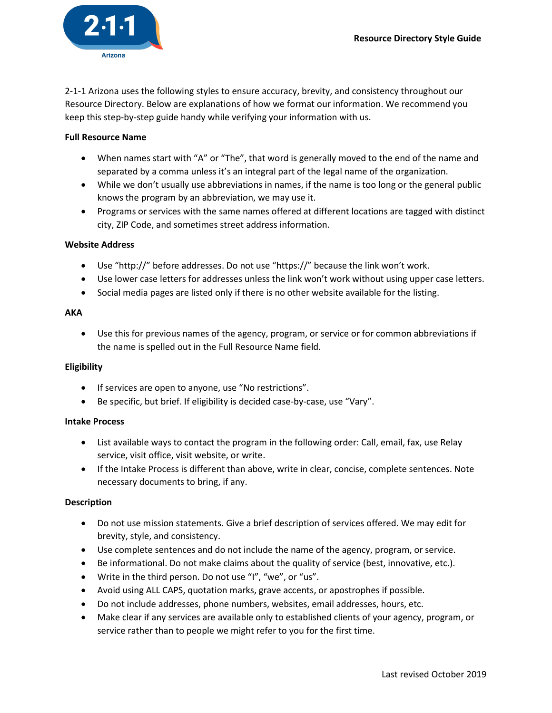

2-1-1 Arizona uses the following styles to ensure accuracy, brevity, and consistency throughout our Resource Directory. Below are explanations of how we format our information. We recommend you keep this step-by-step guide handy while verifying your information with us.

## Full Resource Name

- When names start with "A" or "The", that word is generally moved to the end of the name and separated by a comma unless it's an integral part of the legal name of the organization.
- While we don't usually use abbreviations in names, if the name is too long or the general public knows the program by an abbreviation, we may use it.
- Programs or services with the same names offered at different locations are tagged with distinct city, ZIP Code, and sometimes street address information.

## Website Address

- Use "http://" before addresses. Do not use "https://" because the link won't work.
- Use lower case letters for addresses unless the link won't work without using upper case letters.
- Social media pages are listed only if there is no other website available for the listing.

## AKA

 Use this for previous names of the agency, program, or service or for common abbreviations if the name is spelled out in the Full Resource Name field.

## Eligibility

- If services are open to anyone, use "No restrictions".
- Be specific, but brief. If eligibility is decided case-by-case, use "Vary".

## Intake Process

- List available ways to contact the program in the following order: Call, email, fax, use Relay service, visit office, visit website, or write.
- If the Intake Process is different than above, write in clear, concise, complete sentences. Note necessary documents to bring, if any.

## Description

- Do not use mission statements. Give a brief description of services offered. We may edit for brevity, style, and consistency.
- Use complete sentences and do not include the name of the agency, program, or service.
- Be informational. Do not make claims about the quality of service (best, innovative, etc.).
- Write in the third person. Do not use "I", "we", or "us".
- Avoid using ALL CAPS, quotation marks, grave accents, or apostrophes if possible.
- Do not include addresses, phone numbers, websites, email addresses, hours, etc.
- Make clear if any services are available only to established clients of your agency, program, or service rather than to people we might refer to you for the first time.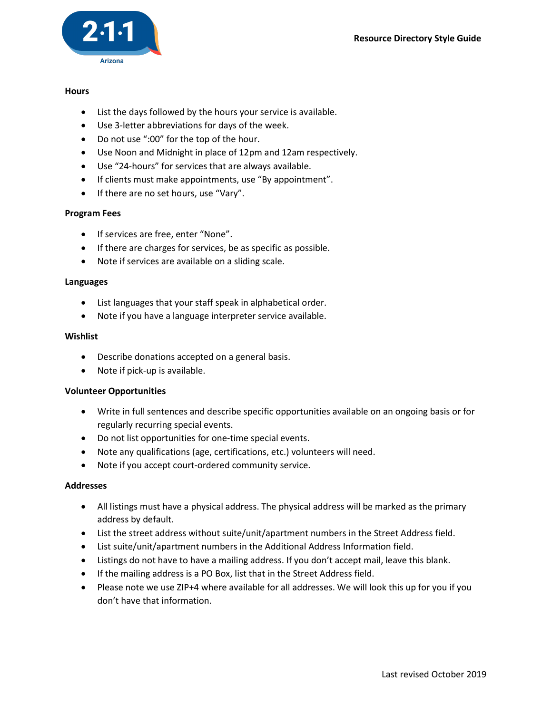

## **Hours**

- List the days followed by the hours your service is available.
- Use 3-letter abbreviations for days of the week.
- Do not use ":00" for the top of the hour.
- Use Noon and Midnight in place of 12pm and 12am respectively.
- Use "24-hours" for services that are always available.
- If clients must make appointments, use "By appointment".
- If there are no set hours, use "Vary".

# Program Fees

- If services are free, enter "None".
- If there are charges for services, be as specific as possible.
- Note if services are available on a sliding scale.

#### Languages

- List languages that your staff speak in alphabetical order.
- Note if you have a language interpreter service available.

#### Wishlist

- Describe donations accepted on a general basis.
- Note if pick-up is available.

## Volunteer Opportunities

- Write in full sentences and describe specific opportunities available on an ongoing basis or for regularly recurring special events.
- Do not list opportunities for one-time special events.
- Note any qualifications (age, certifications, etc.) volunteers will need.
- Note if you accept court-ordered community service.

## Addresses

- All listings must have a physical address. The physical address will be marked as the primary address by default.
- List the street address without suite/unit/apartment numbers in the Street Address field.
- List suite/unit/apartment numbers in the Additional Address Information field.
- Listings do not have to have a mailing address. If you don't accept mail, leave this blank.
- If the mailing address is a PO Box, list that in the Street Address field.
- Please note we use ZIP+4 where available for all addresses. We will look this up for you if you don't have that information.